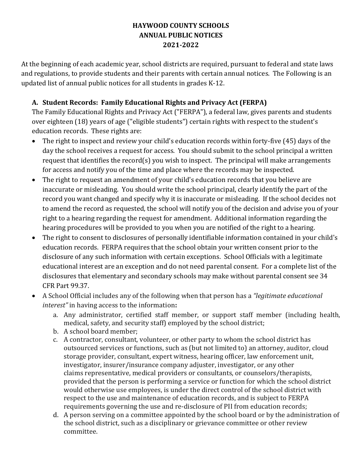#### **HAYWOOD COUNTY SCHOOLS ANNUAL PUBLIC NOTICES 2021-2022**

At the beginning of each academic year, school districts are required, pursuant to federal and state laws and regulations, to provide students and their parents with certain annual notices. The Following is an updated list of annual public notices for all students in grades K-12.

#### **A. Student Records: Family Educational Rights and Privacy Act (FERPA)**

The Family Educational Rights and Privacy Act ("FERPA"), a federal law, gives parents and students over eighteen (18) years of age ("eligible students") certain rights with respect to the student's education records. These rights are:

- The right to inspect and review your child's education records within forty-five (45) days of the day the school receives a request for access. You should submit to the school principal a written request that identifies the record(s) you wish to inspect. The principal will make arrangements for access and notify you of the time and place where the records may be inspected.
- The right to request an amendment of your child's education records that you believe are inaccurate or misleading. You should write the school principal, clearly identify the part of the record you want changed and specify why it is inaccurate or misleading. If the school decides not to amend the record as requested, the school will notify you of the decision and advise you of your right to a hearing regarding the request for amendment. Additional information regarding the hearing procedures will be provided to you when you are notified of the right to a hearing.
- The right to consent to disclosures of personally identifiable information contained in your child's education records. FERPA requires that the school obtain your written consent prior to the disclosure of any such information with certain exceptions. School Officials with a legitimate educational interest are an exception and do not need parental consent. For a complete list of the disclosures that elementary and secondary schools may make without parental consent see 34 CFR Part 99.37.
- A School Official includes any of the following when that person has a *"legitimate educational interest"* in having access to the information**:**
	- a. Any administrator, certified staff member, or support staff member (including health, medical, safety, and security staff) employed by the school district;
	- b. A school board member;
	- c. A contractor, consultant, volunteer, or other party to whom the school district has outsourced services or functions, such as (but not limited to) an attorney, auditor, cloud storage provider, consultant, expert witness, hearing officer, law enforcement unit, investigator, insurer/insurance company adjuster, investigator, or any other claims representative, medical providers or consultants, or counselors/therapists, provided that the person is performing a service or function for which the school district would otherwise use employees, is under the direct control of the school district with respect to the use and maintenance of education records, and is subject to FERPA requirements governing the use and re-disclosure of PII from education records;
	- d. A person serving on a committee appointed by the school board or by the administration of the school district, such as a disciplinary or grievance committee or other review committee.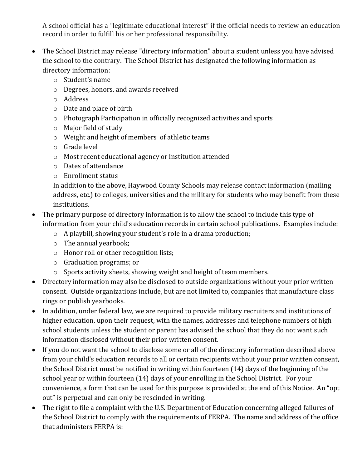A school official has a "legitimate educational interest" if the official needs to review an education record in order to fulfill his or her professional responsibility.

- The School District may release "directory information" about a student unless you have advised the school to the contrary. The School District has designated the following information as directory information:
	- o Student's name
	- o Degrees, honors, and awards received
	- o Address
	- o Date and place of birth
	- o Photograph Participation in officially recognized activities and sports
	- o Major field of study
	- o Weight and height of members of athletic teams
	- o Grade level
	- o Most recent educational agency or institution attended
	- o Dates of attendance
	- o Enrollment status

In addition to the above, Haywood County Schools may release contact information (mailing address, etc.) to colleges, universities and the military for students who may benefit from these institutions.

- The primary purpose of directory information is to allow the school to include this type of information from your child's education records in certain school publications. Examples include:
	- o A playbill, showing your student's role in a drama production;
	- o The annual yearbook;
	- o Honor roll or other recognition lists;
	- o Graduation programs; or
	- o Sports activity sheets, showing weight and height of team members.
- Directory information may also be disclosed to outside organizations without your prior written consent. Outside organizations include, but are not limited to, companies that manufacture class rings or publish yearbooks.
- In addition, under federal law, we are required to provide military recruiters and institutions of higher education, upon their request, with the names, addresses and telephone numbers of high school students unless the student or parent has advised the school that they do not want such information disclosed without their prior written consent.
- If you do not want the school to disclose some or all of the directory information described above from your child's education records to all or certain recipients without your prior written consent, the School District must be notified in writing within fourteen (14) days of the beginning of the school year or within fourteen (14) days of your enrolling in the School District. For your convenience, a form that can be used for this purpose is provided at the end of this Notice. An "opt out" is perpetual and can only be rescinded in writing.
- The right to file a complaint with the U.S. Department of Education concerning alleged failures of the School District to comply with the requirements of FERPA. The name and address of the office that administers FERPA is: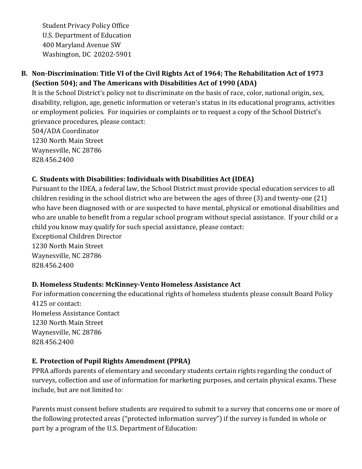Student Privacy Policy Office U.S. Department of Education 400 Maryland Avenue SW Washington, DC 20202-5901

## **B. Non-Discrimination: Title VI of the Civil Rights Act of 1964; The Rehabilitation Act of 1973 (Section 504); and The Americans with Disabilities Act of 1990 (ADA)**

It is the School District's policy not to discriminate on the basis of race, color, national origin, sex, disability, religion, age, genetic information or veteran's status in its educational programs, activities or employment policies. For inquiries or complaints or to request a copy of the School District's grievance procedures, please contact:

504/ADA Coordinator 1230 North Main Street Waynesville, NC 28786 828.456.2400

# **C. Students with Disabilities: Individuals with Disabilities Act (IDEA)**

Pursuant to the IDEA, a federal law, the School District must provide special education services to all children residing in the school district who are between the ages of three (3) and twenty-one (21) who have been diagnosed with or are suspected to have mental, physical or emotional disabilities and who are unable to benefit from a regular school program without special assistance. If your child or a child you know may qualify for such special assistance, please contact: Exceptional Children Director

1230 North Main Street Waynesville, NC 28786 828.456.2400

### **D. Homeless Students: McKinney-Vento Homeless Assistance Act**

For information concerning the educational rights of homeless students please consult Board Policy 4125 or contact: Homeless Assistance Contact 1230 North Main Street Waynesville, NC 28786 828.456.2400

### **E. Protection of Pupil Rights Amendment (PPRA)**

PPRA affords parents of elementary and secondary students certain rights regarding the conduct of surveys, collection and use of information for marketing purposes, and certain physical exams. These include, but are not limited to:

Parents must consent before students are required to submit to a survey that concerns one or more of the following protected areas ("protected information survey") if the survey is funded in whole or part by a program of the U.S. Department of Education: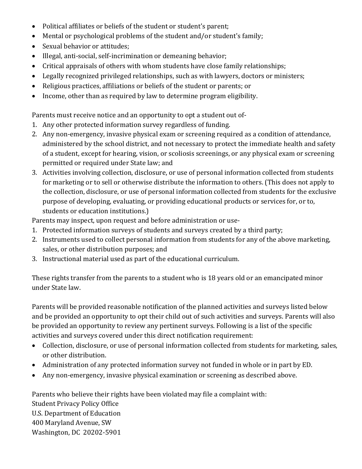- Political affiliates or beliefs of the student or student's parent;
- Mental or psychological problems of the student and/or student's family;
- Sexual behavior or attitudes;
- Illegal, anti-social, self-incrimination or demeaning behavior;
- Critical appraisals of others with whom students have close family relationships;
- Legally recognized privileged relationships, such as with lawyers, doctors or ministers;
- Religious practices, affiliations or beliefs of the student or parents; or
- Income, other than as required by law to determine program eligibility.

Parents must receive notice and an opportunity to opt a student out of-

- 1. Any other protected information survey regardless of funding.
- 2. Any non-emergency, invasive physical exam or screening required as a condition of attendance, administered by the school district, and not necessary to protect the immediate health and safety of a student, except for hearing, vision, or scoliosis screenings, or any physical exam or screening permitted or required under State law; and
- 3. Activities involving collection, disclosure, or use of personal information collected from students for marketing or to sell or otherwise distribute the information to others. (This does not apply to the collection, disclosure, or use of personal information collected from students for the exclusive purpose of developing, evaluating, or providing educational products or services for, or to, students or education institutions.)

Parents may inspect, upon request and before administration or use-

- 1. Protected information surveys of students and surveys created by a third party;
- 2. Instruments used to collect personal information from students for any of the above marketing, sales, or other distribution purposes; and
- 3. Instructional material used as part of the educational curriculum.

These rights transfer from the parents to a student who is 18 years old or an emancipated minor under State law.

Parents will be provided reasonable notification of the planned activities and surveys listed below and be provided an opportunity to opt their child out of such activities and surveys. Parents will also be provided an opportunity to review any pertinent surveys. Following is a list of the specific activities and surveys covered under this direct notification requirement:

- Collection, disclosure, or use of personal information collected from students for marketing, sales, or other distribution.
- Administration of any protected information survey not funded in whole or in part by ED.
- Any non-emergency, invasive physical examination or screening as described above.

Parents who believe their rights have been violated may file a complaint with: Student Privacy Policy Office U.S. Department of Education 400 Maryland Avenue, SW Washington, DC 20202-5901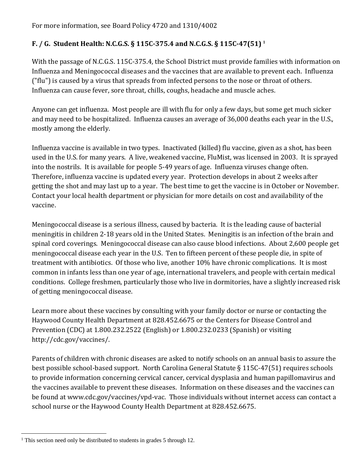# **F. / G. Student Health: N.C.G.S. § 115C-375.4 and N.C.G.S. § 115C-47(51) <sup>1</sup>**

With the passage of N.C.G.S. 115C-375.4, the School District must provide families with information on Influenza and Meningococcal diseases and the vaccines that are available to prevent each. Influenza ("flu") is caused by a virus that spreads from infected persons to the nose or throat of others. Influenza can cause fever, sore throat, chills, coughs, headache and muscle aches.

Anyone can get influenza. Most people are ill with flu for only a few days, but some get much sicker and may need to be hospitalized. Influenza causes an average of 36,000 deaths each year in the U.S., mostly among the elderly.

Influenza vaccine is available in two types. Inactivated (killed) flu vaccine, given as a shot, has been used in the U.S. for many years. A live, weakened vaccine, FluMist, was licensed in 2003. It is sprayed into the nostrils. It is available for people 5-49 years of age. Influenza viruses change often. Therefore, influenza vaccine is updated every year. Protection develops in about 2 weeks after getting the shot and may last up to a year. The best time to get the vaccine is in October or November. Contact your local health department or physician for more details on cost and availability of the vaccine.

Meningococcal disease is a serious illness, caused by bacteria. It is the leading cause of bacterial meningitis in children 2-18 years old in the United States. Meningitis is an infection of the brain and spinal cord coverings. Meningococcal disease can also cause blood infections. About 2,600 people get meningococcal disease each year in the U.S. Ten to fifteen percent of these people die, in spite of treatment with antibiotics. Of those who live, another 10% have chronic complications. It is most common in infants less than one year of age, international travelers, and people with certain medical conditions. College freshmen, particularly those who live in dormitories, have a slightly increased risk of getting meningococcal disease.

Learn more about these vaccines by consulting with your family doctor or nurse or contacting the Haywood County Health Department at 828.452.6675 or the Centers for Disease Control and Prevention (CDC) at 1.800.232.2522 (English) or 1.800.232.0233 (Spanish) or visiting http://cdc.gov/vaccines/.

Parents of children with chronic diseases are asked to notify schools on an annual basis to assure the best possible school-based support. North Carolina General Statute § 115C-47(51) requires schools to provide information concerning cervical cancer, cervical dysplasia and human papillomavirus and the vaccines available to prevent these diseases. Information on these diseases and the vaccines can be found at www.cdc.gov/vaccines/vpd-vac. Those individuals without internet access can contact a school nurse or the Haywood County Health Department at 828.452.6675.

l <sup>1</sup> This section need only be distributed to students in grades 5 through 12.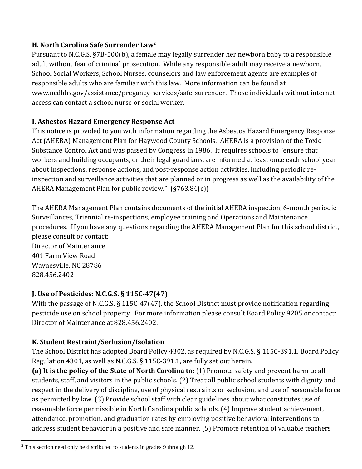#### **H. North Carolina Safe Surrender Law<sup>2</sup>**

Pursuant to N.C.G.S. §7B-500(b), a female may legally surrender her newborn baby to a responsible adult without fear of criminal prosecution. While any responsible adult may receive a newborn, School Social Workers, School Nurses, counselors and law enforcement agents are examples of responsible adults who are familiar with this law. More information can be found at www.ncdhhs.gov/assistance/pregancy-services/safe-surrender. Those individuals without internet access can contact a school nurse or social worker.

### **I. Asbestos Hazard Emergency Response Act**

This notice is provided to you with information regarding the Asbestos Hazard Emergency Response Act (AHERA) Management Plan for Haywood County Schools. AHERA is a provision of the Toxic Substance Control Act and was passed by Congress in 1986. It requires schools to "ensure that workers and building occupants, or their legal guardians, are informed at least once each school year about inspections, response actions, and post-response action activities, including periodic reinspection and surveillance activities that are planned or in progress as well as the availability of the AHERA Management Plan for public review." (§763.84(c))

The AHERA Management Plan contains documents of the initial AHERA inspection, 6-month periodic Surveillances, Triennial re-inspections, employee training and Operations and Maintenance procedures. If you have any questions regarding the AHERA Management Plan for this school district, please consult or contact:

Director of Maintenance 401 Farm View Road Waynesville, NC 28786 828.456.2402

 $\overline{a}$ 

### **J. Use of Pesticides: N.C.G.S. § 115C-47(47)**

With the passage of N.C.G.S. § 115C-47(47), the School District must provide notification regarding pesticide use on school property. For more information please consult Board Policy 9205 or contact: Director of Maintenance at 828.456.2402.

### **K. Student Restraint/Seclusion/Isolation**

The School District has adopted Board Policy 4302, as required by N.C.G.S. § 115C-391.1. Board Policy Regulation 4301, as well as N.C.G.S. § 115C-391.1, are fully set out herein.

**(a) It is the policy of the State of North Carolina to**: (1) Promote safety and prevent harm to all students, staff, and visitors in the public schools. (2) Treat all public school students with dignity and respect in the delivery of discipline, use of physical restraints or seclusion, and use of reasonable force as permitted by law. (3) Provide school staff with clear guidelines about what constitutes use of reasonable force permissible in North Carolina public schools. (4) Improve student achievement, attendance, promotion, and graduation rates by employing positive behavioral interventions to address student behavior in a positive and safe manner. (5) Promote retention of valuable teachers

 $2$  This section need only be distributed to students in grades 9 through 12.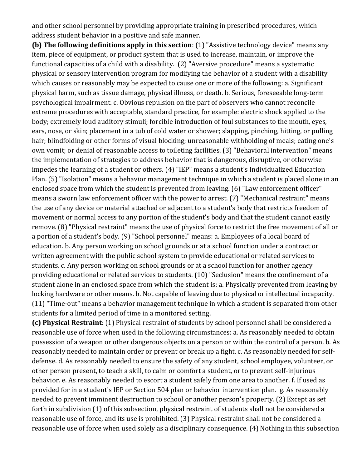and other school personnel by providing appropriate training in prescribed procedures, which address student behavior in a positive and safe manner.

**(b) The following definitions apply in this section**: (1) "Assistive technology device" means any item, piece of equipment, or product system that is used to increase, maintain, or improve the functional capacities of a child with a disability. (2) "Aversive procedure" means a systematic physical or sensory intervention program for modifying the behavior of a student with a disability which causes or reasonably may be expected to cause one or more of the following: a. Significant physical harm, such as tissue damage, physical illness, or death. b. Serious, foreseeable long-term psychological impairment. c. Obvious repulsion on the part of observers who cannot reconcile extreme procedures with acceptable, standard practice, for example: electric shock applied to the body; extremely loud auditory stimuli; forcible introduction of foul substances to the mouth, eyes, ears, nose, or skin; placement in a tub of cold water or shower; slapping, pinching, hitting, or pulling hair; blindfolding or other forms of visual blocking; unreasonable withholding of meals; eating one's own vomit; or denial of reasonable access to toileting facilities. (3) "Behavioral intervention" means the implementation of strategies to address behavior that is dangerous, disruptive, or otherwise impedes the learning of a student or others. (4) "IEP" means a student's Individualized Education Plan. (5) "Isolation" means a behavior management technique in which a student is placed alone in an enclosed space from which the student is prevented from leaving. (6) "Law enforcement officer" means a sworn law enforcement officer with the power to arrest. (7) "Mechanical restraint" means the use of any device or material attached or adjacent to a student's body that restricts freedom of movement or normal access to any portion of the student's body and that the student cannot easily remove. (8) "Physical restraint" means the use of physical force to restrict the free movement of all or a portion of a student's body. (9) "School personnel" means: a. Employees of a local board of education. b. Any person working on school grounds or at a school function under a contract or written agreement with the public school system to provide educational or related services to students. c. Any person working on school grounds or at a school function for another agency providing educational or related services to students. (10) "Seclusion" means the confinement of a student alone in an enclosed space from which the student is: a. Physically prevented from leaving by locking hardware or other means. b. Not capable of leaving due to physical or intellectual incapacity. (11) "Time-out" means a behavior management technique in which a student is separated from other students for a limited period of time in a monitored setting.

**(c) Physical Restraint**: (1) Physical restraint of students by school personnel shall be considered a reasonable use of force when used in the following circumstances: a. As reasonably needed to obtain possession of a weapon or other dangerous objects on a person or within the control of a person. b. As reasonably needed to maintain order or prevent or break up a fight. c. As reasonably needed for selfdefense. d. As reasonably needed to ensure the safety of any student, school employee, volunteer, or other person present, to teach a skill, to calm or comfort a student, or to prevent self-injurious behavior. e. As reasonably needed to escort a student safely from one area to another. f. If used as provided for in a student's IEP or Section 504 plan or behavior intervention plan. g. As reasonably needed to prevent imminent destruction to school or another person's property. (2) Except as set forth in subdivision (1) of this subsection, physical restraint of students shall not be considered a reasonable use of force, and its use is prohibited. (3) Physical restraint shall not be considered a reasonable use of force when used solely as a disciplinary consequence. (4) Nothing in this subsection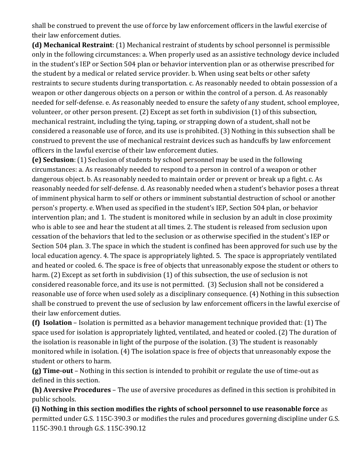shall be construed to prevent the use of force by law enforcement officers in the lawful exercise of their law enforcement duties.

**(d) Mechanical Restraint**: (1) Mechanical restraint of students by school personnel is permissible only in the following circumstances: a. When properly used as an assistive technology device included in the student's IEP or Section 504 plan or behavior intervention plan or as otherwise prescribed for the student by a medical or related service provider. b. When using seat belts or other safety restraints to secure students during transportation. c. As reasonably needed to obtain possession of a weapon or other dangerous objects on a person or within the control of a person. d. As reasonably needed for self-defense. e. As reasonably needed to ensure the safety of any student, school employee, volunteer, or other person present. (2) Except as set forth in subdivision (1) of this subsection, mechanical restraint, including the tying, taping, or strapping down of a student, shall not be considered a reasonable use of force, and its use is prohibited. (3) Nothing in this subsection shall be construed to prevent the use of mechanical restraint devices such as handcuffs by law enforcement officers in the lawful exercise of their law enforcement duties.

**(e) Seclusion**: (1) Seclusion of students by school personnel may be used in the following circumstances: a. As reasonably needed to respond to a person in control of a weapon or other dangerous object. b. As reasonably needed to maintain order or prevent or break up a fight. c. As reasonably needed for self-defense. d. As reasonably needed when a student's behavior poses a threat of imminent physical harm to self or others or imminent substantial destruction of school or another person's property. e. When used as specified in the student's IEP, Section 504 plan, or behavior intervention plan; and 1. The student is monitored while in seclusion by an adult in close proximity who is able to see and hear the student at all times. 2. The student is released from seclusion upon cessation of the behaviors that led to the seclusion or as otherwise specified in the student's IEP or Section 504 plan. 3. The space in which the student is confined has been approved for such use by the local education agency. 4. The space is appropriately lighted. 5. The space is appropriately ventilated and heated or cooled. 6. The space is free of objects that unreasonably expose the student or others to harm. (2) Except as set forth in subdivision (1) of this subsection, the use of seclusion is not considered reasonable force, and its use is not permitted. (3) Seclusion shall not be considered a reasonable use of force when used solely as a disciplinary consequence. (4) Nothing in this subsection shall be construed to prevent the use of seclusion by law enforcement officers in the lawful exercise of their law enforcement duties.

**(f) Isolation** – Isolation is permitted as a behavior management technique provided that: (1) The space used for isolation is appropriately lighted, ventilated, and heated or cooled. (2) The duration of the isolation is reasonable in light of the purpose of the isolation. (3) The student is reasonably monitored while in isolation. (4) The isolation space is free of objects that unreasonably expose the student or others to harm.

**(g) Time-out** – Nothing in this section is intended to prohibit or regulate the use of time-out as defined in this section.

**(h) Aversive Procedures** – The use of aversive procedures as defined in this section is prohibited in public schools.

**(i) Nothing in this section modifies the rights of school personnel to use reasonable force** as permitted under G.S. 115C-390.3 or modifies the rules and procedures governing discipline under G.S. 115C-390.1 through G.S. 115C-390.12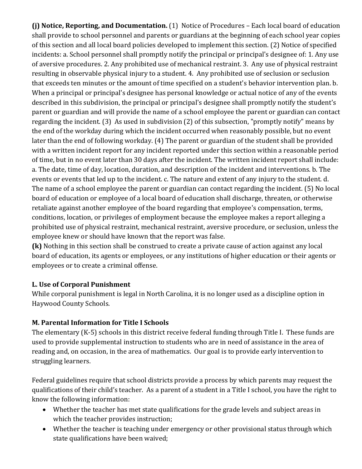**(j) Notice, Reporting, and Documentation.** (1) Notice of Procedures – Each local board of education shall provide to school personnel and parents or guardians at the beginning of each school year copies of this section and all local board policies developed to implement this section. (2) Notice of specified incidents: a. School personnel shall promptly notify the principal or principal's designee of: 1. Any use of aversive procedures. 2. Any prohibited use of mechanical restraint. 3. Any use of physical restraint resulting in observable physical injury to a student. 4. Any prohibited use of seclusion or seclusion that exceeds ten minutes or the amount of time specified on a student's behavior intervention plan. b. When a principal or principal's designee has personal knowledge or actual notice of any of the events described in this subdivision, the principal or principal's designee shall promptly notify the student's parent or guardian and will provide the name of a school employee the parent or guardian can contact regarding the incident. (3) As used in subdivision (2) of this subsection, "promptly notify" means by the end of the workday during which the incident occurred when reasonably possible, but no event later than the end of following workday. (4) The parent or guardian of the student shall be provided with a written incident report for any incident reported under this section within a reasonable period of time, but in no event later than 30 days after the incident. The written incident report shall include: a. The date, time of day, location, duration, and description of the incident and interventions. b. The events or events that led up to the incident. c. The nature and extent of any injury to the student. d. The name of a school employee the parent or guardian can contact regarding the incident. (5) No local board of education or employee of a local board of education shall discharge, threaten, or otherwise retaliate against another employee of the board regarding that employee's compensation, terms, conditions, location, or privileges of employment because the employee makes a report alleging a prohibited use of physical restraint, mechanical restraint, aversive procedure, or seclusion, unless the employee knew or should have known that the report was false.

**(k)** Nothing in this section shall be construed to create a private cause of action against any local board of education, its agents or employees, or any institutions of higher education or their agents or employees or to create a criminal offense.

### **L. Use of Corporal Punishment**

While corporal punishment is legal in North Carolina, it is no longer used as a discipline option in Haywood County Schools.

### **M. Parental Information for Title I Schools**

The elementary (K-5) schools in this district receive federal funding through Title I. These funds are used to provide supplemental instruction to students who are in need of assistance in the area of reading and, on occasion, in the area of mathematics. Our goal is to provide early intervention to struggling learners.

Federal guidelines require that school districts provide a process by which parents may request the qualifications of their child's teacher. As a parent of a student in a Title I school, you have the right to know the following information:

- Whether the teacher has met state qualifications for the grade levels and subject areas in which the teacher provides instruction;
- Whether the teacher is teaching under emergency or other provisional status through which state qualifications have been waived;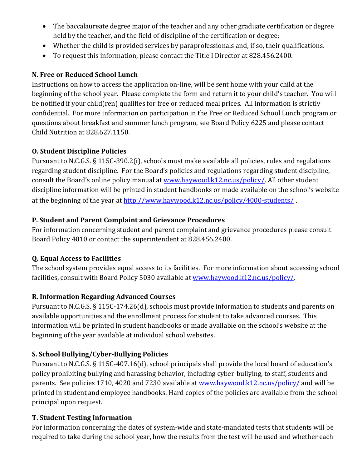- The baccalaureate degree major of the teacher and any other graduate certification or degree held by the teacher, and the field of discipline of the certification or degree;
- Whether the child is provided services by paraprofessionals and, if so, their qualifications.
- To request this information, please contact the Title I Director at 828.456.2400.

### **N. Free or Reduced School Lunch**

Instructions on how to access the application on-line, will be sent home with your child at the beginning of the school year. Please complete the form and return it to your child's teacher. You will be notified if your child(ren) qualifies for free or reduced meal prices. All information is strictly confidential. For more information on participation in the Free or Reduced School Lunch program or questions about breakfast and summer lunch program, see Board Policy 6225 and please contact Child Nutrition at 828.627.1150.

### **O. Student Discipline Policies**

Pursuant to N.C.G.S. § 115C-390.2(i), schools must make available all policies, rules and regulations regarding student discipline. For the Board's policies and regulations regarding student discipline, consult the Board's online policy manual at [www.haywood.k12.nc.us/policy/.](http://www.haywood.k12.nc.us/policy/) All other student discipline information will be printed in student handbooks or made available on the school's website at the beginning of the year at<http://www.haywood.k12.nc.us/policy/4000-students/>

# **P. Student and Parent Complaint and Grievance Procedures**

For information concerning student and parent complaint and grievance procedures please consult Board Policy 4010 or contact the superintendent at 828.456.2400.

### **Q. Equal Access to Facilities**

The school system provides equal access to its facilities. For more information about accessing school facilities, consult with Board Policy 5030 available at [www.haywood.k12.nc.us/policy/.](http://www.haywood.k12.nc.us/policy/)

# **R. Information Regarding Advanced Courses**

Pursuant to N.C.G.S. § 115C-174.26(d), schools must provide information to students and parents on available opportunities and the enrollment process for student to take advanced courses. This information will be printed in student handbooks or made available on the school's website at the beginning of the year available at individual school websites.

# **S. School Bullying/Cyber-Bullying Policies**

Pursuant to N.C.G.S. § 115C-407.16(d), school principals shall provide the local board of education's policy prohibiting bullying and harassing behavior, including cyber-bullying, to staff, students and parents. See policies 1710, 4020 and 7230 available at [www.haywood.k12.nc.us/policy/](http://www.haywood.k12.nc.us/policy/) and will be printed in student and employee handbooks. Hard copies of the policies are available from the school principal upon request.

### **T. Student Testing Information**

For information concerning the dates of system-wide and state-mandated tests that students will be required to take during the school year, how the results from the test will be used and whether each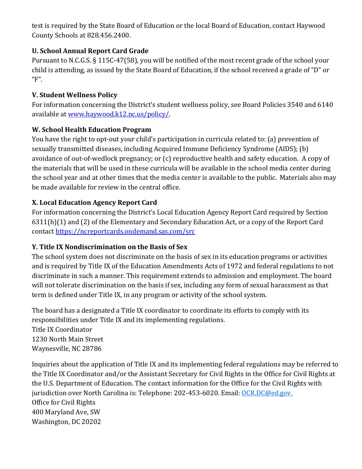test is required by the State Board of Education or the local Board of Education, contact Haywood County Schools at 828.456.2400.

## **U. School Annual Report Card Grade**

Pursuant to N.C.G.S. § 115C-47(58), you will be notified of the most recent grade of the school your child is attending, as issued by the State Board of Education, if the school received a grade of "D" or  $^{\prime\prime}$ F".

## **V. Student Wellness Policy**

For information concerning the District's student wellness policy, see Board Policies 3540 and 6140 available at [www.haywood.k12.nc.us/policy/.](http://www.haywood.k12.nc.us/policy/)

# **W. School Health Education Program**

You have the right to opt-out your child's participation in curricula related to: (a) prevention of sexually transmitted diseases, including Acquired Immune Deficiency Syndrome (AIDS); (b) avoidance of out-of-wedlock pregnancy; or (c) reproductive health and safety education. A copy of the materials that will be used in these curricula will be available in the school media center during the school year and at other times that the media center is available to the public. Materials also may be made available for review in the central office.

# **X. Local Education Agency Report Card**

For information concerning the District's Local Education Agency Report Card required by Section 6311(h)(1) and (2) of the Elementary and Secondary Education Act, or a copy of the Report Card contact <https://ncreportcards.ondemand.sas.com/src>

### **Y. Title IX Nondiscrimination on the Basis of Sex**

The school system does not discriminate on the basis of sex in its education programs or activities and is required by Title IX of the Education Amendments Acts of 1972 and federal regulations to not discriminate in such a manner. This requirement extends to admission and employment. The board will not tolerate discrimination on the basis if sex, including any form of sexual harassment as that term is defined under Title IX, in any program or activity of the school system.

The board has a designated a Title IX coordinator to coordinate its efforts to comply with its responsibilities under Title IX and its implementing regulations.

Title IX Coordinator 1230 North Main Street Waynesville, NC 28786

Inquiries about the application of Title IX and its implementing federal regulations may be referred to the Title IX Coordinator and/or the Assistant Secretary for Civil Rights in the Office for Civil Rights at the U.S. Department of Education. The contact information for the Office for the Civil Rights with jurisdiction over North Carolina is: Telephone: 202-453-6020. Email: OCR.DC@ed.gov. Office for Civil Rights 400 Maryland Ave, SW Washington, DC 20202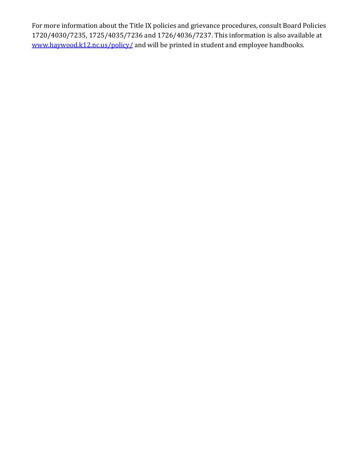For more information about the Title IX policies and grievance procedures, consult Board Policies 1720/4030/7235, 1725/4035/7236 and 1726/4036/7237. This information is also available at [www.haywood.k12.nc.us/policy/](http://www.haywood.k12.nc.us/policy/) and will be printed in student and employee handbooks.